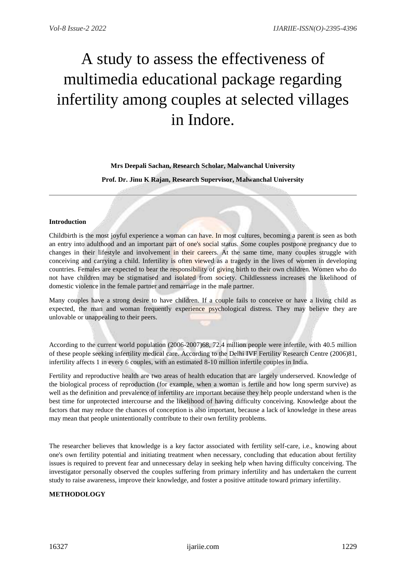# A study to assess the effectiveness of multimedia educational package regarding infertility among couples at selected villages in Indore.

# **Mrs Deepali Sachan, Research Scholar, Malwanchal University**

**Prof. Dr. Jinu K Rajan, Research Supervisor, Malwanchal University**

## **Introduction**

Childbirth is the most joyful experience a woman can have. In most cultures, becoming a parent is seen as both an entry into adulthood and an important part of one's social status. Some couples postpone pregnancy due to changes in their lifestyle and involvement in their careers. At the same time, many couples struggle with conceiving and carrying a child. Infertility is often viewed as a tragedy in the lives of women in developing countries. Females are expected to bear the responsibility of giving birth to their own children. Women who do not have children may be stigmatised and isolated from society. Childlessness increases the likelihood of domestic violence in the female partner and remarriage in the male partner.

Many couples have a strong desire to have children. If a couple fails to conceive or have a living child as expected, the man and woman frequently experience psychological distress. They may believe they are unlovable or unappealing to their peers.

According to the current world population (2006-2007)68, 72.4 million people were infertile, with 40.5 million of these people seeking infertility medical care. According to the Delhi IVF Fertility Research Centre (2006)81, infertility affects 1 in every 6 couples, with an estimated 8-10 million infertile couples in India.

Fertility and reproductive health are two areas of health education that are largely underserved. Knowledge of the biological process of reproduction (for example, when a woman is fertile and how long sperm survive) as well as the definition and prevalence of infertility are important because they help people understand when is the best time for unprotected intercourse and the likelihood of having difficulty conceiving. Knowledge about the factors that may reduce the chances of conception is also important, because a lack of knowledge in these areas may mean that people unintentionally contribute to their own fertility problems.

The researcher believes that knowledge is a key factor associated with fertility self-care, i.e., knowing about one's own fertility potential and initiating treatment when necessary, concluding that education about fertility issues is required to prevent fear and unnecessary delay in seeking help when having difficulty conceiving. The investigator personally observed the couples suffering from primary infertility and has undertaken the current study to raise awareness, improve their knowledge, and foster a positive attitude toward primary infertility.

# **METHODOLOGY**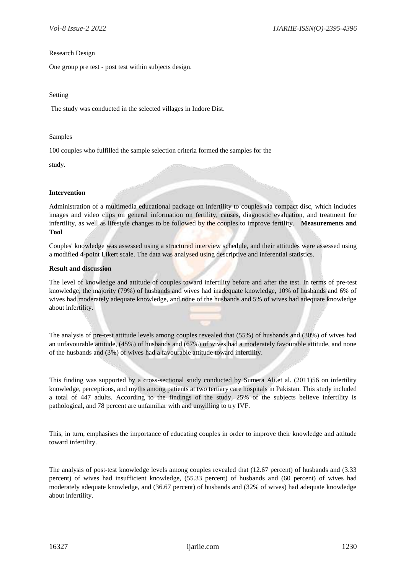#### Research Design

One group pre test - post test within subjects design.

#### Setting

The study was conducted in the selected villages in Indore Dist.

#### Samples

100 couples who fulfilled the sample selection criteria formed the samples for the

study.

## **Intervention**

Administration of a multimedia educational package on infertility to couples via compact disc, which includes images and video clips on general information on fertility, causes, diagnostic evaluation, and treatment for infertility, as well as lifestyle changes to be followed by the couples to improve fertility. **Measurements and Tool** 

Couples' knowledge was assessed using a structured interview schedule, and their attitudes were assessed using a modified 4-point Likert scale. The data was analysed using descriptive and inferential statistics.

## **Result and discussion**

The level of knowledge and attitude of couples toward infertility before and after the test. In terms of pre-test knowledge, the majority (79%) of husbands and wives had inadequate knowledge, 10% of husbands and 6% of wives had moderately adequate knowledge, and none of the husbands and 5% of wives had adequate knowledge about infertility.

The analysis of pre-test attitude levels among couples revealed that (55%) of husbands and (30%) of wives had an unfavourable attitude, (45%) of husbands and (67%) of wives had a moderately favourable attitude, and none of the husbands and (3%) of wives had a favourable attitude toward infertility.

This finding was supported by a cross-sectional study conducted by Sumera Ali.et al. (2011)56 on infertility knowledge, perceptions, and myths among patients at two tertiary care hospitals in Pakistan. This study included a total of 447 adults. According to the findings of the study, 25% of the subjects believe infertility is pathological, and 78 percent are unfamiliar with and unwilling to try IVF.

This, in turn, emphasises the importance of educating couples in order to improve their knowledge and attitude toward infertility.

The analysis of post-test knowledge levels among couples revealed that (12.67 percent) of husbands and (3.33 percent) of wives had insufficient knowledge, (55.33 percent) of husbands and (60 percent) of wives had moderately adequate knowledge, and (36.67 percent) of husbands and (32% of wives) had adequate knowledge about infertility.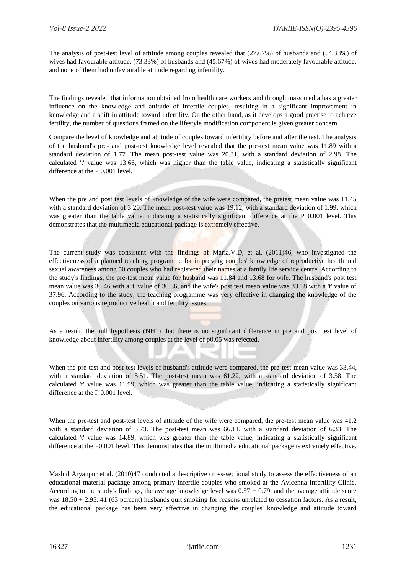The analysis of post-test level of attitude among couples revealed that (27.67%) of husbands and (54.33%) of wives had favourable attitude, (73.33%) of husbands and (45.67%) of wives had moderately favourable attitude, and none of them had unfavourable attitude regarding infertility.

The findings revealed that information obtained from health care workers and through mass media has a greater influence on the knowledge and attitude of infertile couples, resulting in a significant improvement in knowledge and a shift in attitude toward infertility. On the other hand, as it develops a good practise to achieve fertility, the number of questions framed on the lifestyle modification component is given greater concern.

Compare the level of knowledge and attitude of couples toward infertility before and after the test. The analysis of the husband's pre- and post-test knowledge level revealed that the pre-test mean value was 11.89 with a standard deviation of 1.77. The mean post-test value was 20.31, with a standard deviation of 2.98. The calculated 't' value was 13.66, which was higher than the table value, indicating a statistically significant difference at the P 0.001 level.

When the pre and post test levels of knowledge of the wife were compared, the pretest mean value was 11.45 with a standard deviation of 3.20. The mean post-test value was 19.12, with a standard deviation of 1.99. which was greater than the table value, indicating a statistically significant difference at the P 0.001 level. This demonstrates that the multimedia educational package is extremely effective.

The current study was consistent with the findings of Maria.V.D, et al. (2011)46, who investigated the effectiveness of a planned teaching programme for improving couples' knowledge of reproductive health and sexual awareness among 50 couples who had registered their names at a family life service centre. According to the study's findings, the pre-test mean value for husband was 11.84 and 13.68 for wife. The husband's post test mean value was 30.46 with a 't' value of 30.86, and the wife's post test mean value was 33.18 with a 't' value of 37.96. According to the study, the teaching programme was very effective in changing the knowledge of the couples on various reproductive health and fertility issues.

As a result, the null hypothesis (NH1) that there is no significant difference in pre and post test level of knowledge about infertility among couples at the level of p0.05 was rejected.

When the pre-test and post-test levels of husband's attitude were compared, the pre-test mean value was 33.44, with a standard deviation of 5.51. The post-test mean was 61.22, with a standard deviation of 3.58. The calculated 't' value was 11.99, which was greater than the table value, indicating a statistically significant difference at the P 0.001 level.

When the pre-test and post-test levels of attitude of the wife were compared, the pre-test mean value was 41.2 with a standard deviation of 5.73. The post-test mean was 66.11, with a standard deviation of 6.33. The calculated 't' value was 14.89, which was greater than the table value, indicating a statistically significant difference at the P0.001 level. This demonstrates that the multimedia educational package is extremely effective.

Mashid Aryanpur et al. (2010)47 conducted a descriptive cross-sectional study to assess the effectiveness of an educational material package among primary infertile couples who smoked at the Avicenna Infertility Clinic. According to the study's findings, the average knowledge level was  $0.57 + 0.79$ , and the average attitude score was  $18.50 + 2.95$ . 41 (63 percent) husbands quit smoking for reasons unrelated to cessation factors. As a result, the educational package has been very effective in changing the couples' knowledge and attitude toward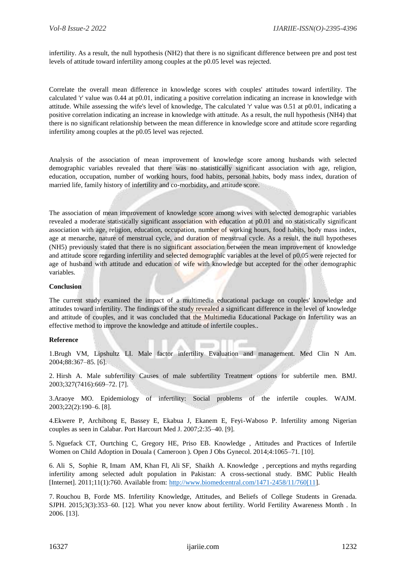infertility. As a result, the null hypothesis (NH2) that there is no significant difference between pre and post test levels of attitude toward infertility among couples at the p0.05 level was rejected.

Correlate the overall mean difference in knowledge scores with couples' attitudes toward infertility. The calculated 'r' value was 0.44 at p0.01, indicating a positive correlation indicating an increase in knowledge with attitude. While assessing the wife's level of knowledge, The calculated 'r' value was 0.51 at p0.01, indicating a positive correlation indicating an increase in knowledge with attitude. As a result, the null hypothesis (NH4) that there is no significant relationship between the mean difference in knowledge score and attitude score regarding infertility among couples at the p0.05 level was rejected.

Analysis of the association of mean improvement of knowledge score among husbands with selected demographic variables revealed that there was no statistically significant association with age, religion, education, occupation, number of working hours, food habits, personal habits, body mass index, duration of married life, family history of infertility and co-morbidity, and attitude score.

The association of mean improvement of knowledge score among wives with selected demographic variables revealed a moderate statistically significant association with education at p0.01 and no statistically significant association with age, religion, education, occupation, number of working hours, food habits, body mass index, age at menarche, nature of menstrual cycle, and duration of menstrual cycle. As a result, the null hypotheses (NH5) previously stated that there is no significant association between the mean improvement of knowledge and attitude score regarding infertility and selected demographic variables at the level of p0.05 were rejected for age of husband with attitude and education of wife with knowledge but accepted for the other demographic variables.

#### **Conclusion**

The current study examined the impact of a multimedia educational package on couples' knowledge and attitudes toward infertility. The findings of the study revealed a significant difference in the level of knowledge and attitude of couples, and it was concluded that the Multimedia Educational Package on Infertility was an effective method to improve the knowledge and attitude of infertile couples..

#### **Reference**

1.Brugh VM, Lipshultz LI. Male factor infertility Evaluation and management. Med Clin N Am. 2004;88:367–85. [6].

**SECOND** 

14

2. Hirsh A. Male subfertility Causes of male subfertility Treatment options for subfertile men. BMJ. 2003;327(7416):669–72. [7].

3.Araoye MO. Epidemiology of infertility: Social problems of the infertile couples. WAJM. 2003;22(2):190–6. [8].

4.Ekwere P, Archibong E, Bassey E, Ekabua J, Ekanem E, Feyi-Waboso P. Infertility among Nigerian couples as seen in Calabar. Port Harcourt Med J. 2007;2:35–40. [9].

5. Nguefack CT, Ourtching C, Gregory HE, Priso EB. Knowledge , Attitudes and Practices of Infertile Women on Child Adoption in Douala ( Cameroon ). Open J Obs Gynecol. 2014;4:1065–71. [10].

6. Ali S, Sophie R, Imam AM, Khan FI, Ali SF, Shaikh A. Knowledge , perceptions and myths regarding infertility among selected adult population in Pakistan: A cross-sectional study. BMC Public Health [Internet]. 2011;11(1):760. Available from: [http://www.biomedcentral.com/1471-2458/11/760\[11\]](http://www.biomedcentral.com/1471-2458/11/760%5b11).

7. Rouchou B, Forde MS. Infertility Knowledge, Attitudes, and Beliefs of College Students in Grenada. SJPH. 2015;3(3):353–60. [12]. What you never know about fertility. World Fertility Awareness Month . In 2006. [13].